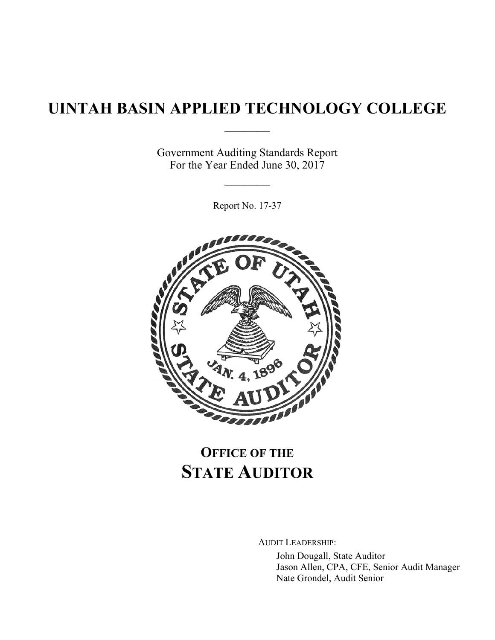# **UINTAH BASIN APPLIED TECHNOLOGY COLLEGE**  $\frac{1}{2}$

Government Auditing Standards Report For the Year Ended June 30, 2017

 $\frac{1}{2}$ 

Report No. 17-37



# **OFFICE OF THE STATE AUDITOR**

AUDIT LEADERSHIP:

John Dougall, State Auditor Jason Allen, CPA, CFE, Senior Audit Manager Nate Grondel, Audit Senior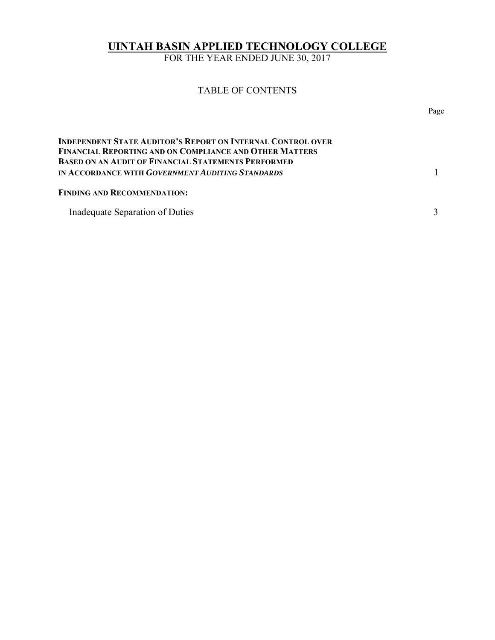# **UINTAH BASIN APPLIED TECHNOLOGY COLLEGE**

FOR THE YEAR ENDED JUNE 30, 2017

# TABLE OF CONTENTS

|                                                                                                                        | Page |
|------------------------------------------------------------------------------------------------------------------------|------|
| Independent State Auditor's Report on Internal Control over<br>FINANCIAL REPORTING AND ON COMPLIANCE AND OTHER MATTERS |      |
| BASED ON AN AUDIT OF FINANCIAL STATEMENTS PERFORMED<br>IN ACCORDANCE WITH <i>GOVERNMENT AUDITING STANDARDS</i>         |      |
| <b>FINDING AND RECOMMENDATION:</b>                                                                                     |      |
| Inadequate Separation of Duties                                                                                        |      |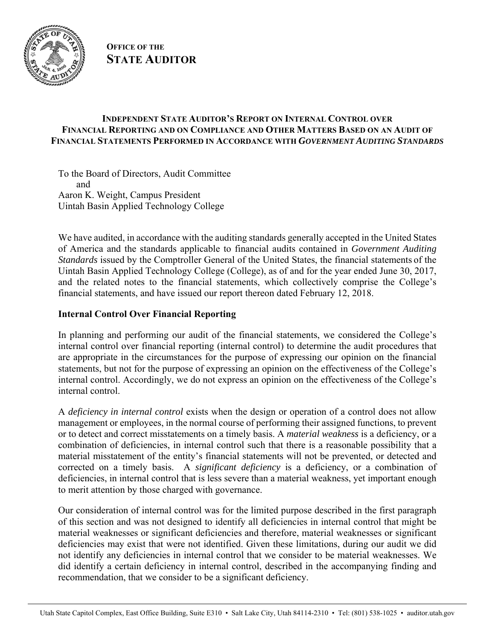

**OFFICE OF THE STATE AUDITOR**

# **INDEPENDENT STATE AUDITOR'S REPORT ON INTERNAL CONTROL OVER FINANCIAL REPORTING AND ON COMPLIANCE AND OTHER MATTERS BASED ON AN AUDIT OF FINANCIAL STATEMENTS PERFORMED IN ACCORDANCE WITH** *GOVERNMENT AUDITING STANDARDS*

To the Board of Directors, Audit Committee and Aaron K. Weight, Campus President Uintah Basin Applied Technology College

We have audited, in accordance with the auditing standards generally accepted in the United States of America and the standards applicable to financial audits contained in *Government Auditing Standards* issued by the Comptroller General of the United States, the financial statements of the Uintah Basin Applied Technology College (College), as of and for the year ended June 30, 2017, and the related notes to the financial statements, which collectively comprise the College's financial statements, and have issued our report thereon dated February 12, 2018.

# **Internal Control Over Financial Reporting**

In planning and performing our audit of the financial statements, we considered the College's internal control over financial reporting (internal control) to determine the audit procedures that are appropriate in the circumstances for the purpose of expressing our opinion on the financial statements, but not for the purpose of expressing an opinion on the effectiveness of the College's internal control. Accordingly, we do not express an opinion on the effectiveness of the College's internal control.

A *deficiency in internal control* exists when the design or operation of a control does not allow management or employees, in the normal course of performing their assigned functions, to prevent or to detect and correct misstatements on a timely basis. A *material weakness* is a deficiency, or a combination of deficiencies, in internal control such that there is a reasonable possibility that a material misstatement of the entity's financial statements will not be prevented, or detected and corrected on a timely basis. A *significant deficiency* is a deficiency, or a combination of deficiencies, in internal control that is less severe than a material weakness, yet important enough to merit attention by those charged with governance.

Our consideration of internal control was for the limited purpose described in the first paragraph of this section and was not designed to identify all deficiencies in internal control that might be material weaknesses or significant deficiencies and therefore, material weaknesses or significant deficiencies may exist that were not identified. Given these limitations, during our audit we did not identify any deficiencies in internal control that we consider to be material weaknesses. We did identify a certain deficiency in internal control, described in the accompanying finding and recommendation, that we consider to be a significant deficiency.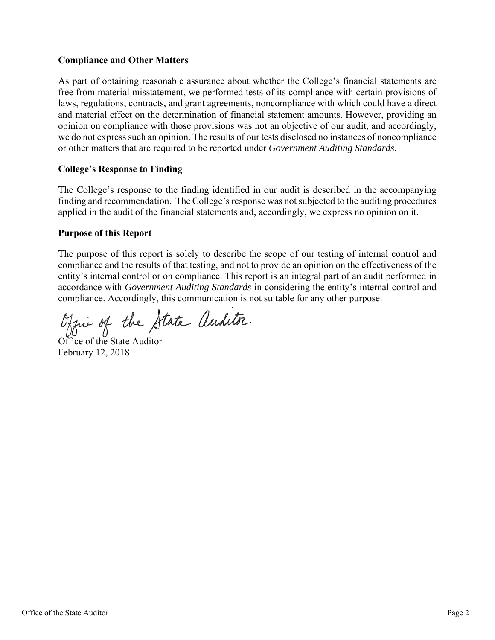## **Compliance and Other Matters**

As part of obtaining reasonable assurance about whether the College's financial statements are free from material misstatement, we performed tests of its compliance with certain provisions of laws, regulations, contracts, and grant agreements, noncompliance with which could have a direct and material effect on the determination of financial statement amounts. However, providing an opinion on compliance with those provisions was not an objective of our audit, and accordingly, we do not express such an opinion. The results of our tests disclosed no instances of noncompliance or other matters that are required to be reported under *Government Auditing Standards*.

#### **College's Response to Finding**

The College's response to the finding identified in our audit is described in the accompanying finding and recommendation. The College's response was not subjected to the auditing procedures applied in the audit of the financial statements and, accordingly, we express no opinion on it.

## **Purpose of this Report**

The purpose of this report is solely to describe the scope of our testing of internal control and compliance and the results of that testing, and not to provide an opinion on the effectiveness of the entity's internal control or on compliance. This report is an integral part of an audit performed in accordance with *Government Auditing Standards* in considering the entity's internal control and compliance. Accordingly, this communication is not suitable for any other purpose.

Office of the State auditor

Office of the State Auditor February 12, 2018